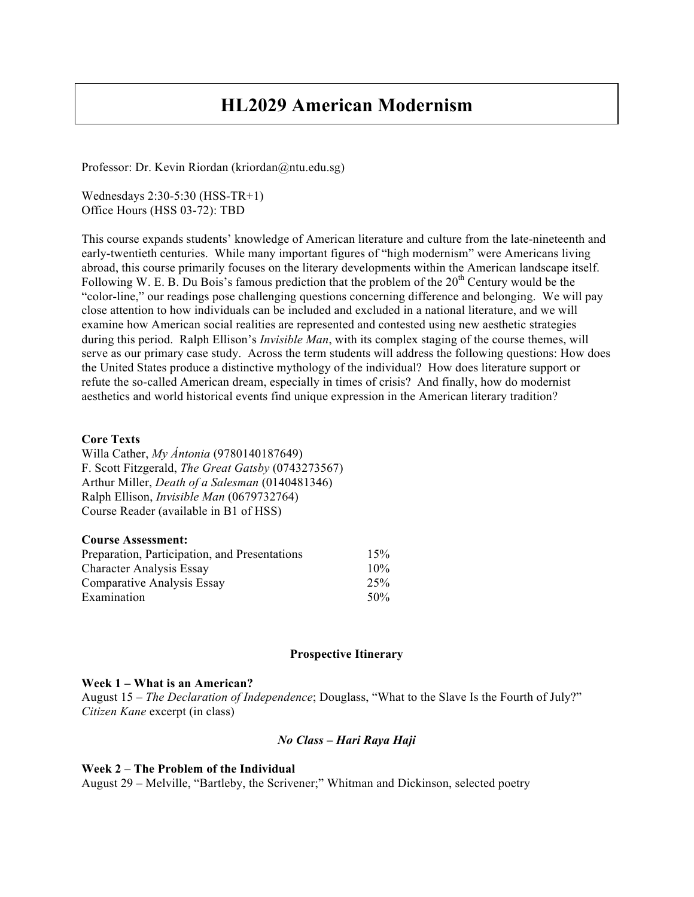# **HL2029 American Modernism**

Professor: Dr. Kevin Riordan (kriordan@ntu.edu.sg)

Wednesdays 2:30-5:30 (HSS-TR+1) Office Hours (HSS 03-72): TBD

This course expands students' knowledge of American literature and culture from the late-nineteenth and early-twentieth centuries. While many important figures of "high modernism" were Americans living abroad, this course primarily focuses on the literary developments within the American landscape itself. Following W. E. B. Du Bois's famous prediction that the problem of the 20<sup>th</sup> Century would be the "color-line," our readings pose challenging questions concerning difference and belonging. We will pay close attention to how individuals can be included and excluded in a national literature, and we will examine how American social realities are represented and contested using new aesthetic strategies during this period. Ralph Ellison's *Invisible Man*, with its complex staging of the course themes, will serve as our primary case study. Across the term students will address the following questions: How does the United States produce a distinctive mythology of the individual? How does literature support or refute the so-called American dream, especially in times of crisis? And finally, how do modernist aesthetics and world historical events find unique expression in the American literary tradition?

### **Core Texts**

Willa Cather, *My Ántonia* (9780140187649) F. Scott Fitzgerald, *The Great Gatsby* (0743273567) Arthur Miller, *Death of a Salesman* (0140481346) Ralph Ellison, *Invisible Man* (0679732764) Course Reader (available in B1 of HSS)

| <b>Course Assessment:</b>                     |     |
|-----------------------------------------------|-----|
| Preparation, Participation, and Presentations | 15% |
| <b>Character Analysis Essay</b>               | 10% |
| Comparative Analysis Essay                    | 25% |
| Examination                                   | 50% |

## **Prospective Itinerary**

#### **Week 1 – What is an American?**

August 15 – *The Declaration of Independence*; Douglass, "What to the Slave Is the Fourth of July?" *Citizen Kane* excerpt (in class)

## *No Class – Hari Raya Haji*

#### **Week 2 – The Problem of the Individual**

August 29 – Melville, "Bartleby, the Scrivener;" Whitman and Dickinson, selected poetry